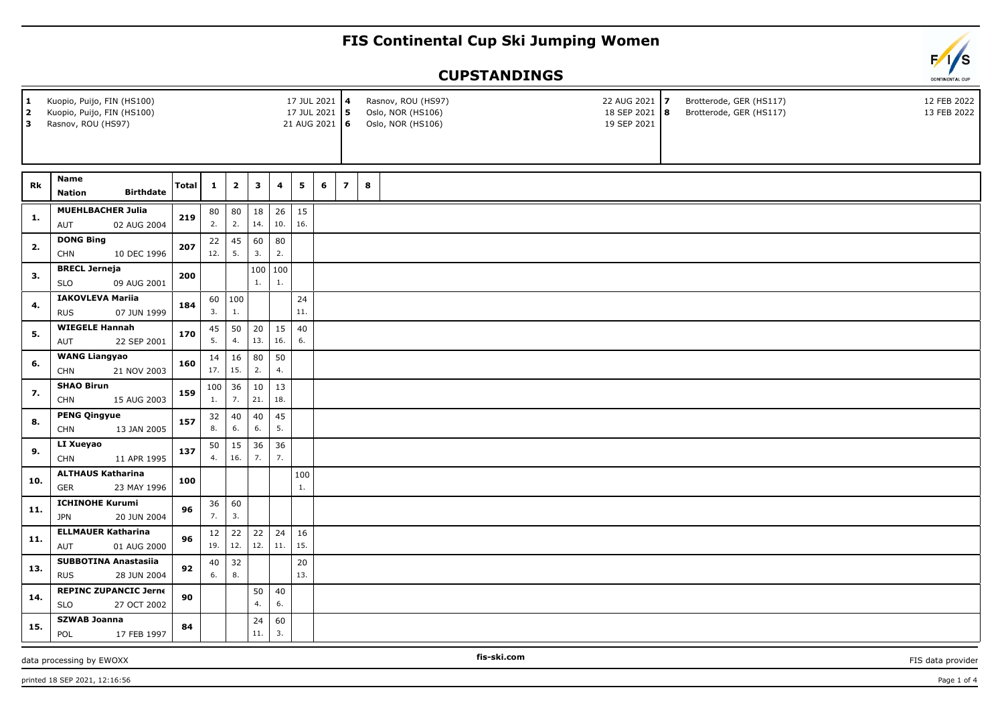## **FIS Continental Cup Ski Jumping Women**

## **CUPSTANDINGS**

| $\mathbf{1}$<br>$\overline{\mathbf{2}}$<br>3 | Kuopio, Puijo, FIN (HS100)<br>Kuopio, Puijo, FIN (HS100)<br>Rasnov, ROU (HS97) |       |              |                |           |           | 17 JUL 2021 4<br>17 JUL 2021<br>21 AUG 2021 6 |   | $\sqrt{5}$     |        | Rasnov, ROU (HS97)<br>Oslo, NOR (HS106)<br>Oslo, NOR (HS106) |  | 22 AUG 2021 7<br>18 SEP 2021   8<br>19 SEP 2021 | Brotterode, GER (HS117)<br>Brotterode, GER (HS117) | 12 FEB 2022<br>13 FEB 2022 |
|----------------------------------------------|--------------------------------------------------------------------------------|-------|--------------|----------------|-----------|-----------|-----------------------------------------------|---|----------------|--------|--------------------------------------------------------------|--|-------------------------------------------------|----------------------------------------------------|----------------------------|
|                                              |                                                                                |       |              |                |           |           |                                               |   |                |        |                                                              |  |                                                 |                                                    |                            |
| Rk                                           | Name<br><b>Birthdate</b><br><b>Nation</b>                                      | Total | $\mathbf{1}$ | $\mathbf{2}$   | 3         | 4         | 5                                             | 6 | $\overline{z}$ | $\bf8$ |                                                              |  |                                                 |                                                    |                            |
| 1.                                           | <b>MUEHLBACHER Julia</b><br>AUT<br>02 AUG 2004                                 | 219   | 80<br>2.     | 80<br>2.       | 18<br>14. | 26<br>10. | 15<br>16.                                     |   |                |        |                                                              |  |                                                 |                                                    |                            |
| 2.                                           | <b>DONG Bing</b><br><b>CHN</b><br>10 DEC 1996                                  | 207   | 22<br>12.    | 45<br>5.       | 60<br>3.  | 80<br>2.  |                                               |   |                |        |                                                              |  |                                                 |                                                    |                            |
| 3.                                           | <b>BRECL Jerneja</b><br><b>SLO</b><br>09 AUG 2001                              | 200   |              |                | 100<br>1. | 100<br>1. |                                               |   |                |        |                                                              |  |                                                 |                                                    |                            |
| 4.                                           | <b>IAKOVLEVA Mariia</b><br><b>RUS</b><br>07 JUN 1999                           | 184   | 3.           | 60   100<br>1. |           |           | 24<br>11.                                     |   |                |        |                                                              |  |                                                 |                                                    |                            |
| 5.                                           | <b>WIEGELE Hannah</b><br>22 SEP 2001<br>AUT                                    | 170   | 45<br>5.     | 50<br>4.       | 20<br>13. | 15<br>16. | 40<br>6.                                      |   |                |        |                                                              |  |                                                 |                                                    |                            |
| 6.                                           | <b>WANG Liangyao</b><br><b>CHN</b><br>21 NOV 2003                              | 160   | 14<br>17.    | 16<br>15.      | 80<br>2.  | 50<br>4.  |                                               |   |                |        |                                                              |  |                                                 |                                                    |                            |
| 7.                                           | <b>SHAO Birun</b><br><b>CHN</b><br>15 AUG 2003                                 | 159   | 1.           | $100$ 36<br>7. | 10<br>21. | 13<br>18. |                                               |   |                |        |                                                              |  |                                                 |                                                    |                            |
| 8.                                           | <b>PENG Qingyue</b><br><b>CHN</b><br>13 JAN 2005                               | 157   | 32<br>8.     | 40<br>6.       | 40<br>6.  | 45<br>5.  |                                               |   |                |        |                                                              |  |                                                 |                                                    |                            |
| 9.                                           | LI Xueyao<br><b>CHN</b><br>11 APR 1995                                         | 137   | 50<br>4.     | 15<br>16.      | 36<br>7.  | 36<br>7.  |                                               |   |                |        |                                                              |  |                                                 |                                                    |                            |
| 10.                                          | <b>ALTHAUS Katharina</b><br>23 MAY 1996<br><b>GER</b>                          | 100   |              |                |           |           | 100<br>1.                                     |   |                |        |                                                              |  |                                                 |                                                    |                            |
| 11.                                          | <b>ICHINOHE Kurumi</b><br><b>JPN</b><br>20 JUN 2004                            | 96    | 36<br>7.     | 60<br>3.       |           |           |                                               |   |                |        |                                                              |  |                                                 |                                                    |                            |
| 11.                                          | <b>ELLMAUER Katharina</b><br>AUT<br>01 AUG 2000                                | 96    | 12<br>19.    | 22<br>12.      | 22<br>12. | 24<br>11. | 16<br>15.                                     |   |                |        |                                                              |  |                                                 |                                                    |                            |
| 13.                                          | <b>SUBBOTINA Anastasiia</b><br><b>RUS</b><br>28 JUN 2004                       | 92    | 40<br>6.     | 32<br>8.       |           |           | 20<br>13.                                     |   |                |        |                                                              |  |                                                 |                                                    |                            |
| 14.                                          | <b>REPINC ZUPANCIC Jerne</b><br><b>SLO</b><br>27 OCT 2002                      | 90    |              |                | 50<br>4.  | 40<br>6.  |                                               |   |                |        |                                                              |  |                                                 |                                                    |                            |
| 15.                                          | <b>SZWAB Joanna</b><br>17 FEB 1997<br>POL                                      | 84    |              |                | 24<br>11. | 60<br>3.  |                                               |   |                |        |                                                              |  |                                                 |                                                    |                            |

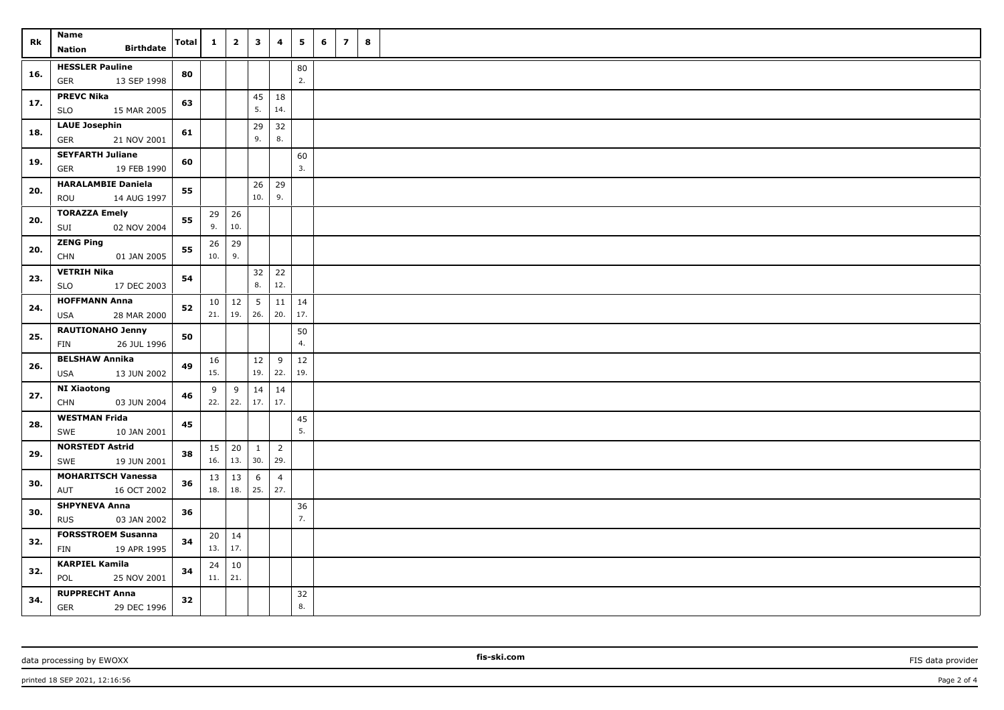| Rk  | Name<br><b>Birthdate</b><br><b>Nation</b>              | <b>Total</b> | $\mathbf{1}$ | $\overline{\mathbf{2}}$ | $\mathbf{3}$           | 4                     | 5         | 6 | $\overline{z}$ | 8 |  |  |  |  |  |  |  |  |  |  |  |  |  |  |  |
|-----|--------------------------------------------------------|--------------|--------------|-------------------------|------------------------|-----------------------|-----------|---|----------------|---|--|--|--|--|--|--|--|--|--|--|--|--|--|--|--|
| 16. | <b>HESSLER Pauline</b><br>13 SEP 1998<br><b>GER</b>    | 80           |              |                         |                        |                       | 80<br>2.  |   |                |   |  |  |  |  |  |  |  |  |  |  |  |  |  |  |  |
| 17. | <b>PREVC Nika</b><br><b>SLO</b><br>15 MAR 2005         | 63           |              |                         | 45<br>5.               | 18<br>14.             |           |   |                |   |  |  |  |  |  |  |  |  |  |  |  |  |  |  |  |
| 18. | <b>LAUE Josephin</b><br><b>GER</b><br>21 NOV 2001      | 61           |              |                         | 29<br>9.               | 32<br>8.              |           |   |                |   |  |  |  |  |  |  |  |  |  |  |  |  |  |  |  |
| 19. | <b>SEYFARTH Juliane</b><br>19 FEB 1990<br><b>GER</b>   | 60           |              |                         |                        |                       | 60<br>3.  |   |                |   |  |  |  |  |  |  |  |  |  |  |  |  |  |  |  |
| 20. | <b>HARALAMBIE Daniela</b><br>ROU<br>14 AUG 1997        | 55           |              |                         | 26<br>10.              | 29<br>9.              |           |   |                |   |  |  |  |  |  |  |  |  |  |  |  |  |  |  |  |
| 20. | <b>TORAZZA Emely</b><br>SUI<br>02 NOV 2004             | 55           | 29<br>9.     | 26<br>10.               |                        |                       |           |   |                |   |  |  |  |  |  |  |  |  |  |  |  |  |  |  |  |
| 20. | <b>ZENG Ping</b><br><b>CHN</b><br>01 JAN 2005          | 55           | 26<br>10.    | 29<br>9.                |                        |                       |           |   |                |   |  |  |  |  |  |  |  |  |  |  |  |  |  |  |  |
| 23. | <b>VETRIH Nika</b><br><b>SLO</b><br>17 DEC 2003        | 54           |              |                         | 32<br>8.               | 22<br>12.             |           |   |                |   |  |  |  |  |  |  |  |  |  |  |  |  |  |  |  |
| 24. | <b>HOFFMANN Anna</b><br>28 MAR 2000<br><b>USA</b>      | 52           | 21.          | $10 \mid 12$<br>19.     | $5\overline{5}$<br>26. | 11<br>20.             | 14<br>17. |   |                |   |  |  |  |  |  |  |  |  |  |  |  |  |  |  |  |
| 25. | <b>RAUTIONAHO Jenny</b><br><b>FIN</b><br>26 JUL 1996   | 50           |              |                         |                        |                       | 50<br>4.  |   |                |   |  |  |  |  |  |  |  |  |  |  |  |  |  |  |  |
| 26. | <b>BELSHAW Annika</b><br><b>USA</b><br>13 JUN 2002     | 49           | 16<br>15.    |                         | 12<br>19.              | 9<br>22.              | 12<br>19. |   |                |   |  |  |  |  |  |  |  |  |  |  |  |  |  |  |  |
| 27. | <b>NI Xiaotong</b><br><b>CHN</b><br>03 JUN 2004        | 46           | 9<br>22.     | 9<br>22.                | 14                     | 14<br>$17.$ 17.       |           |   |                |   |  |  |  |  |  |  |  |  |  |  |  |  |  |  |  |
| 28. | <b>WESTMAN Frida</b><br>10 JAN 2001<br>SWE             | 45           |              |                         |                        |                       | 45<br>5.  |   |                |   |  |  |  |  |  |  |  |  |  |  |  |  |  |  |  |
| 29. | <b>NORSTEDT Astrid</b><br>19 JUN 2001<br>SWE           | 38           | 15<br>16.    | 20<br>13.               | $\mathbf{1}$<br>30.    | $\overline{2}$<br>29. |           |   |                |   |  |  |  |  |  |  |  |  |  |  |  |  |  |  |  |
| 30. | <b>MOHARITSCH Vanessa</b><br>AUT<br>16 OCT 2002        | 36           | 13<br>18.    | 13<br>18.               | 6<br>25.               | $\overline{4}$<br>27. |           |   |                |   |  |  |  |  |  |  |  |  |  |  |  |  |  |  |  |
| 30. | <b>SHPYNEVA Anna</b><br>03 JAN 2002<br><b>RUS</b>      | 36           |              |                         |                        |                       | 36<br>7.  |   |                |   |  |  |  |  |  |  |  |  |  |  |  |  |  |  |  |
| 32. | <b>FORSSTROEM Susanna</b><br><b>FIN</b><br>19 APR 1995 | 34           | 20<br>13.    | $\vert$ 14<br>17.       |                        |                       |           |   |                |   |  |  |  |  |  |  |  |  |  |  |  |  |  |  |  |
| 32. | <b>KARPIEL Kamila</b><br>POL<br>25 NOV 2001            | 34           | 24<br>11.    | 10<br>21.               |                        |                       |           |   |                |   |  |  |  |  |  |  |  |  |  |  |  |  |  |  |  |
| 34. | <b>RUPPRECHT Anna</b><br>29 DEC 1996<br>GER            | 32           |              |                         |                        |                       | 32<br>8.  |   |                |   |  |  |  |  |  |  |  |  |  |  |  |  |  |  |  |

printed 18 SEP 2021, 12:16:56 **Page 2 of 4** Page 2 of 4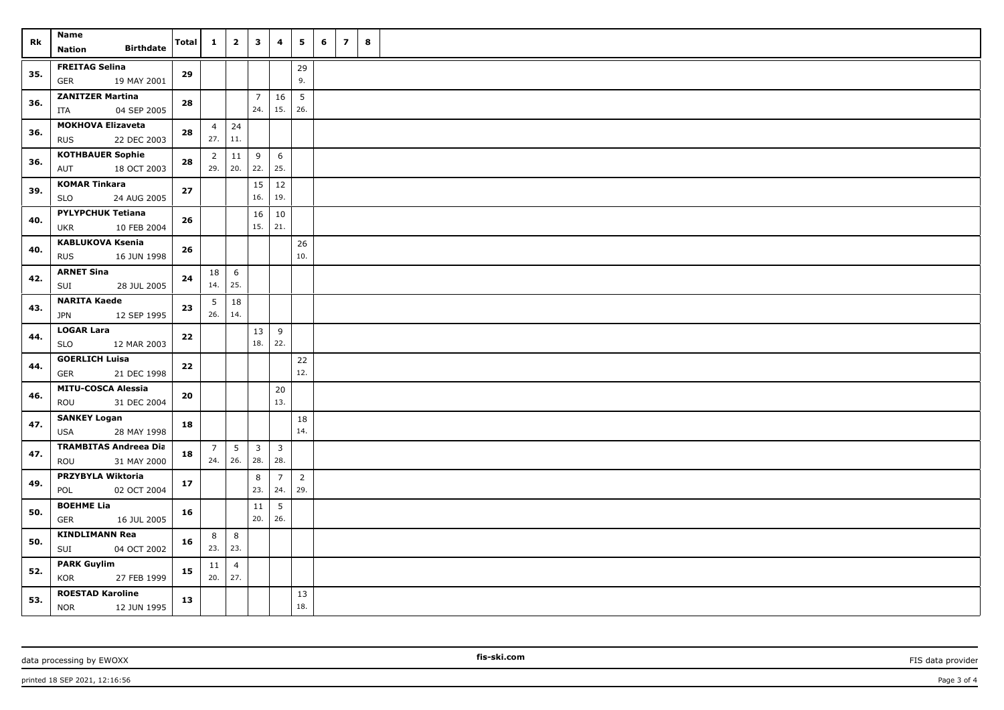| Rk  | <b>Name</b><br><b>Birthdate</b><br><b>Nation</b>      | Total | $\mathbf{1}$          | $\overline{2}$         | $\overline{\mathbf{3}}$ | 4                     | 5                      | 6 | $\overline{z}$ | 8 |  |
|-----|-------------------------------------------------------|-------|-----------------------|------------------------|-------------------------|-----------------------|------------------------|---|----------------|---|--|
| 35. | <b>FREITAG Selina</b><br>GER<br>19 MAY 2001           | 29    |                       |                        |                         |                       | 29<br>9.               |   |                |   |  |
| 36. | <b>ZANITZER Martina</b><br>04 SEP 2005<br>ITA         | 28    |                       |                        | $\overline{7}$<br>24.   | 16<br>15.             | $5\overline{5}$<br>26. |   |                |   |  |
| 36. | <b>MOKHOVA Elizaveta</b><br><b>RUS</b><br>22 DEC 2003 | 28    | $\overline{4}$<br>27. | 24<br>11.              |                         |                       |                        |   |                |   |  |
| 36. | <b>KOTHBAUER Sophie</b><br>AUT<br>18 OCT 2003         | 28    | $\overline{2}$<br>29. | 11<br>20.              | 9<br>22.                | 6<br>25.              |                        |   |                |   |  |
| 39. | <b>KOMAR Tinkara</b><br>SLO<br>24 AUG 2005            | 27    |                       |                        | 15<br>16.               | 12<br>19.             |                        |   |                |   |  |
| 40. | <b>PYLYPCHUK Tetiana</b><br>10 FEB 2004<br>UKR        | 26    |                       |                        | 16<br>15.               | 10<br>21.             |                        |   |                |   |  |
| 40. | <b>KABLUKOVA Ksenia</b><br>16 JUN 1998<br><b>RUS</b>  | 26    |                       |                        |                         |                       | 26<br>10.              |   |                |   |  |
| 42. | <b>ARNET Sina</b><br>SUI<br>28 JUL 2005               | 24    | 18<br>14.             | $6\overline{6}$<br>25. |                         |                       |                        |   |                |   |  |
| 43. | <b>NARITA Kaede</b><br><b>JPN</b><br>12 SEP 1995      | 23    | 5<br>26.              | 18<br>14.              |                         |                       |                        |   |                |   |  |
| 44. | <b>LOGAR Lara</b><br><b>SLO</b><br>12 MAR 2003        | 22    |                       |                        | 13<br>18.               | 9<br>22.              |                        |   |                |   |  |
| 44. | <b>GOERLICH Luisa</b><br>GER<br>21 DEC 1998           | 22    |                       |                        |                         |                       | $22$<br>12.            |   |                |   |  |
| 46. | <b>MITU-COSCA Alessia</b><br>ROU<br>31 DEC 2004       | 20    |                       |                        |                         | 20<br>13.             |                        |   |                |   |  |
| 47. | <b>SANKEY Logan</b><br><b>USA</b><br>28 MAY 1998      | 18    |                       |                        |                         |                       | 18<br>14.              |   |                |   |  |
| 47. | <b>TRAMBITAS Andreea Dia</b><br>31 MAY 2000<br>ROU    | 18    | $\overline{7}$<br>24. | $5\phantom{.0}$<br>26. | $\mathbf{3}$<br>28.     | $\mathbf{3}$<br>28.   |                        |   |                |   |  |
| 49. | PRZYBYLA Wiktoria<br>02 OCT 2004<br>POL               | 17    |                       |                        | 8<br>23.                | $\overline{7}$<br>24. | $\overline{2}$<br>29.  |   |                |   |  |
| 50. | <b>BOEHME Lia</b><br>GER<br>16 JUL 2005               | 16    |                       |                        | 11<br>20.               | 5<br>26.              |                        |   |                |   |  |
| 50. | <b>KINDLIMANN Rea</b><br>SUI<br>04 OCT 2002           | 16    | 8<br>23.              | 8<br>23.               |                         |                       |                        |   |                |   |  |
| 52. | <b>PARK Guylim</b><br>KOR<br>27 FEB 1999              | 15    | 11<br>20.             | $\overline{4}$<br>27.  |                         |                       |                        |   |                |   |  |
| 53. | <b>ROESTAD Karoline</b><br><b>NOR</b><br>12 JUN 1995  | 13    |                       |                        |                         |                       | 13<br>18.              |   |                |   |  |

data processing by EWOXX **Fission FIS data provider FIS data provider FIS data provider FIS data provider**